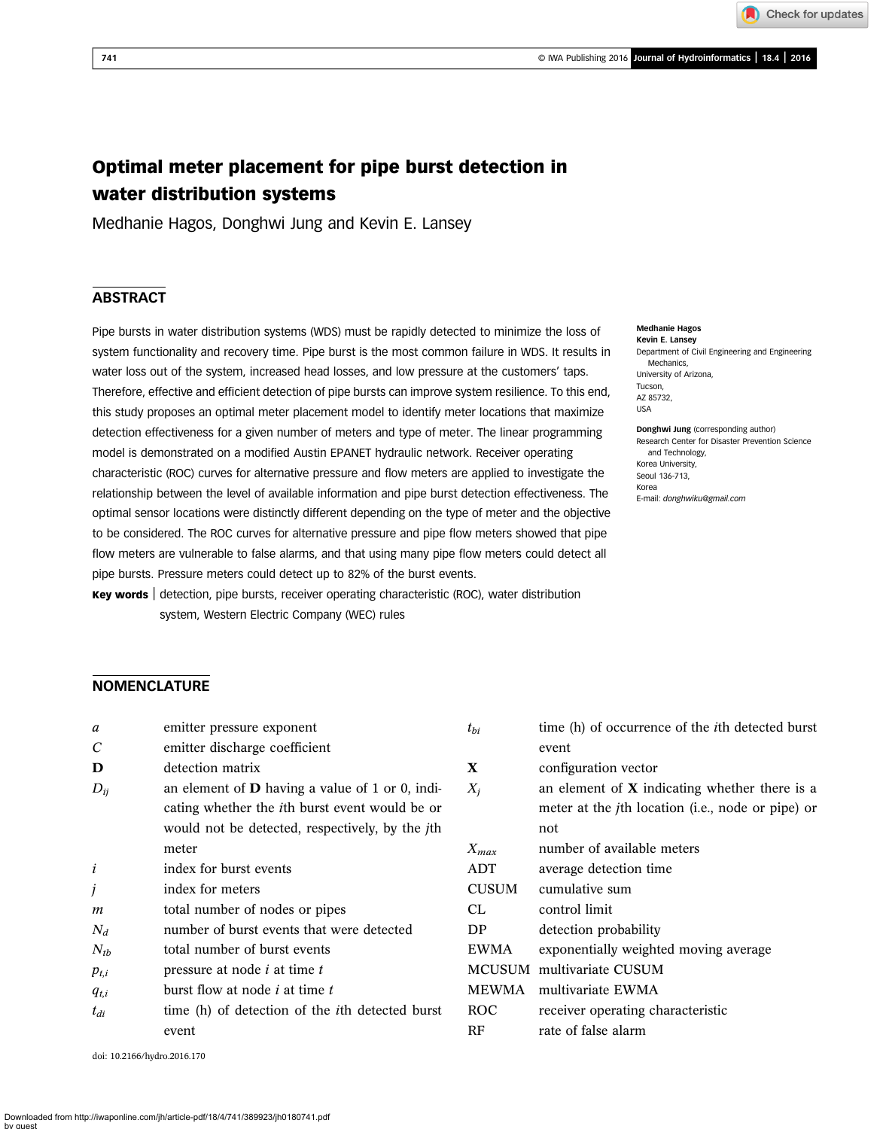# Optimal meter placement for pipe burst detection in water distribution systems

Medhanie Hagos, Donghwi Jung and Kevin E. Lansey

# **ABSTRACT**

Pipe bursts in water distribution systems (WDS) must be rapidly detected to minimize the loss of system functionality and recovery time. Pipe burst is the most common failure in WDS. It results in water loss out of the system, increased head losses, and low pressure at the customers' taps. Therefore, effective and efficient detection of pipe bursts can improve system resilience. To this end, this study proposes an optimal meter placement model to identify meter locations that maximize detection effectiveness for a given number of meters and type of meter. The linear programming model is demonstrated on a modified Austin EPANET hydraulic network. Receiver operating characteristic (ROC) curves for alternative pressure and flow meters are applied to investigate the relationship between the level of available information and pipe burst detection effectiveness. The optimal sensor locations were distinctly different depending on the type of meter and the objective to be considered. The ROC curves for alternative pressure and pipe flow meters showed that pipe flow meters are vulnerable to false alarms, and that using many pipe flow meters could detect all pipe bursts. Pressure meters could detect up to 82% of the burst events.

Key words | detection, pipe bursts, receiver operating characteristic (ROC), water distribution system, Western Electric Company (WEC) rules

#### Medhanie Hagos Kevin E. Lansey

Department of Civil Engineering and Engineering Mechanics, University of Arizona, Tucson, AZ 85732, USA

Donghwi Jung (corresponding author) Research Center for Disaster Prevention Science and Technology, Korea University, Seoul 136-713, Korea E-mail: [donghwiku@gmail.com](mailto:donghwiku@gmail.com)

# **NOMENCLATURE**

| a                           | emitter pressure exponent                               | $t_{bi}$     | time (h) of occurrence of the <i>i</i> th detected burst  |  |  |  |
|-----------------------------|---------------------------------------------------------|--------------|-----------------------------------------------------------|--|--|--|
| $\mathcal C$                | emitter discharge coefficient                           |              | event                                                     |  |  |  |
| D                           | detection matrix                                        | X            | configuration vector                                      |  |  |  |
| $D_{ii}$                    | an element of $D$ having a value of 1 or 0, indi-       | $X_i$        | an element of $X$ indicating whether there is a           |  |  |  |
|                             | cating whether the <i>i</i> th burst event would be or  |              | meter at the <i>j</i> th location (i.e., node or pipe) or |  |  |  |
|                             | would not be detected, respectively, by the jth         |              | not                                                       |  |  |  |
|                             | meter                                                   | $X_{max}$    | number of available meters                                |  |  |  |
| $\dot{i}$                   | index for burst events                                  | ADT          | average detection time                                    |  |  |  |
| j                           | index for meters                                        | <b>CUSUM</b> | cumulative sum                                            |  |  |  |
| m                           | total number of nodes or pipes                          | CL.          | control limit                                             |  |  |  |
| $N_d$                       | number of burst events that were detected               | DP           | detection probability                                     |  |  |  |
| $N_{tb}$                    | total number of burst events                            | <b>EWMA</b>  | exponentially weighted moving average                     |  |  |  |
| $p_{t,i}$                   | pressure at node <i>i</i> at time <i>t</i>              |              | MCUSUM multivariate CUSUM                                 |  |  |  |
| $q_{t,i}$                   | burst flow at node <i>i</i> at time <i>t</i>            | <b>MEWMA</b> | multivariate EWMA                                         |  |  |  |
| $t_{di}$                    | time (h) of detection of the <i>i</i> th detected burst | ROC          | receiver operating characteristic                         |  |  |  |
|                             | event                                                   | RF           | rate of false alarm                                       |  |  |  |
| doi: 10.2166/hydro.2016.170 |                                                         |              |                                                           |  |  |  |

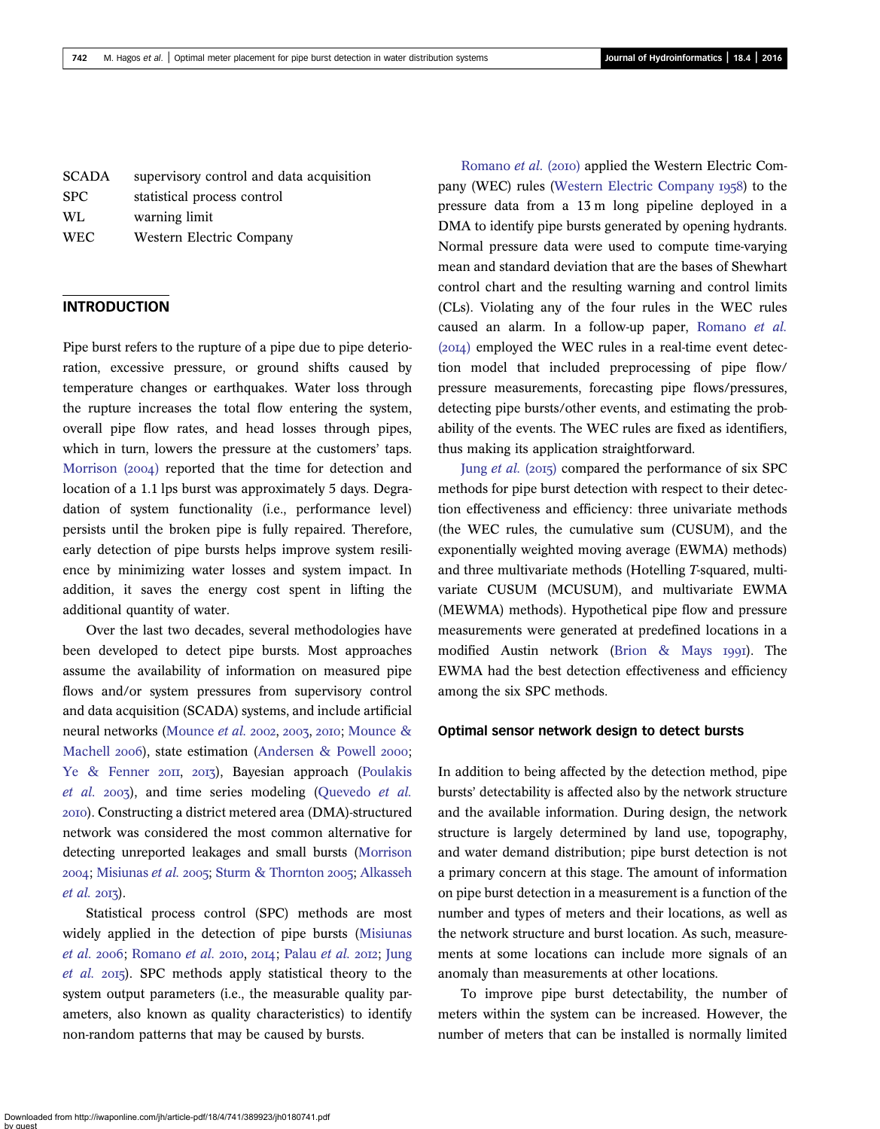| <b>SCADA</b> | supervisory control and data acquisition |
|--------------|------------------------------------------|
| <b>SPC</b>   | statistical process control              |
| WL           | warning limit                            |
| <b>WEC</b>   | Western Electric Company                 |

# INTRODUCTION

Pipe burst refers to the rupture of a pipe due to pipe deterioration, excessive pressure, or ground shifts caused by temperature changes or earthquakes. Water loss through the rupture increases the total flow entering the system, overall pipe flow rates, and head losses through pipes, which in turn, lowers the pressure at the customers' taps. [Morrison \(](#page-14-0)2004) reported that the time for detection and location of a 1.1 lps burst was approximately 5 days. Degradation of system functionality (i.e., performance level) persists until the broken pipe is fully repaired. Therefore, early detection of pipe bursts helps improve system resilience by minimizing water losses and system impact. In addition, it saves the energy cost spent in lifting the additional quantity of water.

Over the last two decades, several methodologies have been developed to detect pipe bursts. Most approaches assume the availability of information on measured pipe flows and/or system pressures from supervisory control and data acquisition (SCADA) systems, and include artificial neural networks [\(Mounce](#page-14-0) et al. 2002, 2003, 2010; [Mounce &](#page-14-0) [Machell](#page-14-0) 2006), state estimation ([Andersen & Powell](#page-14-0) 2000; [Ye & Fenner](#page-15-0) 2011, 2013), Bayesian approach ([Poulakis](#page-15-0) [et al.](#page-15-0) 2003), and time series modeling [\(Quevedo](#page-15-0) et al. ). Constructing a district metered area (DMA)-structured network was considered the most common alternative for detecting unreported leakages and small bursts [\(Morrison](#page-14-0) 2004; [Misiunas](#page-14-0) et al. 2005; [Sturm & Thornton](#page-15-0) 2005; [Alkasseh](#page-14-0)  $et$  al. 2013).

Statistical process control (SPC) methods are most widely applied in the detection of pipe bursts ([Misiunas](#page-14-0) [et al.](#page-14-0) 2006; [Romano](#page-15-0) et al. 2010, 2014; [Palau](#page-15-0) et al. 2012; [Jung](#page-14-0) [et al.](#page-14-0) 2015). SPC methods apply statistical theory to the system output parameters (i.e., the measurable quality parameters, also known as quality characteristics) to identify non-random patterns that may be caused by bursts.

[Romano](#page-15-0) et al. (2010) applied the Western Electric Com-pany (WEC) rules [\(Western Electric Company](#page-15-0) 1958) to the pressure data from a 13 m long pipeline deployed in a DMA to identify pipe bursts generated by opening hydrants. Normal pressure data were used to compute time-varying mean and standard deviation that are the bases of Shewhart control chart and the resulting warning and control limits (CLs). Violating any of the four rules in the WEC rules caused an alarm. In a follow-up paper, [Romano](#page-15-0) et al.  $(20I4)$  employed the WEC rules in a real-time event detection model that included preprocessing of pipe flow/ pressure measurements, forecasting pipe flows/pressures, detecting pipe bursts/other events, and estimating the probability of the events. The WEC rules are fixed as identifiers, thus making its application straightforward.

Jung [et al.](#page-14-0) (2015) compared the performance of six SPC methods for pipe burst detection with respect to their detection effectiveness and efficiency: three univariate methods (the WEC rules, the cumulative sum (CUSUM), and the exponentially weighted moving average (EWMA) methods) and three multivariate methods (Hotelling T-squared, multivariate CUSUM (MCUSUM), and multivariate EWMA (MEWMA) methods). Hypothetical pipe flow and pressure measurements were generated at predefined locations in a modified Austin network (Brion  $\&$  Mays 1991). The EWMA had the best detection effectiveness and efficiency among the six SPC methods.

### Optimal sensor network design to detect bursts

In addition to being affected by the detection method, pipe bursts' detectability is affected also by the network structure and the available information. During design, the network structure is largely determined by land use, topography, and water demand distribution; pipe burst detection is not a primary concern at this stage. The amount of information on pipe burst detection in a measurement is a function of the number and types of meters and their locations, as well as the network structure and burst location. As such, measurements at some locations can include more signals of an anomaly than measurements at other locations.

To improve pipe burst detectability, the number of meters within the system can be increased. However, the number of meters that can be installed is normally limited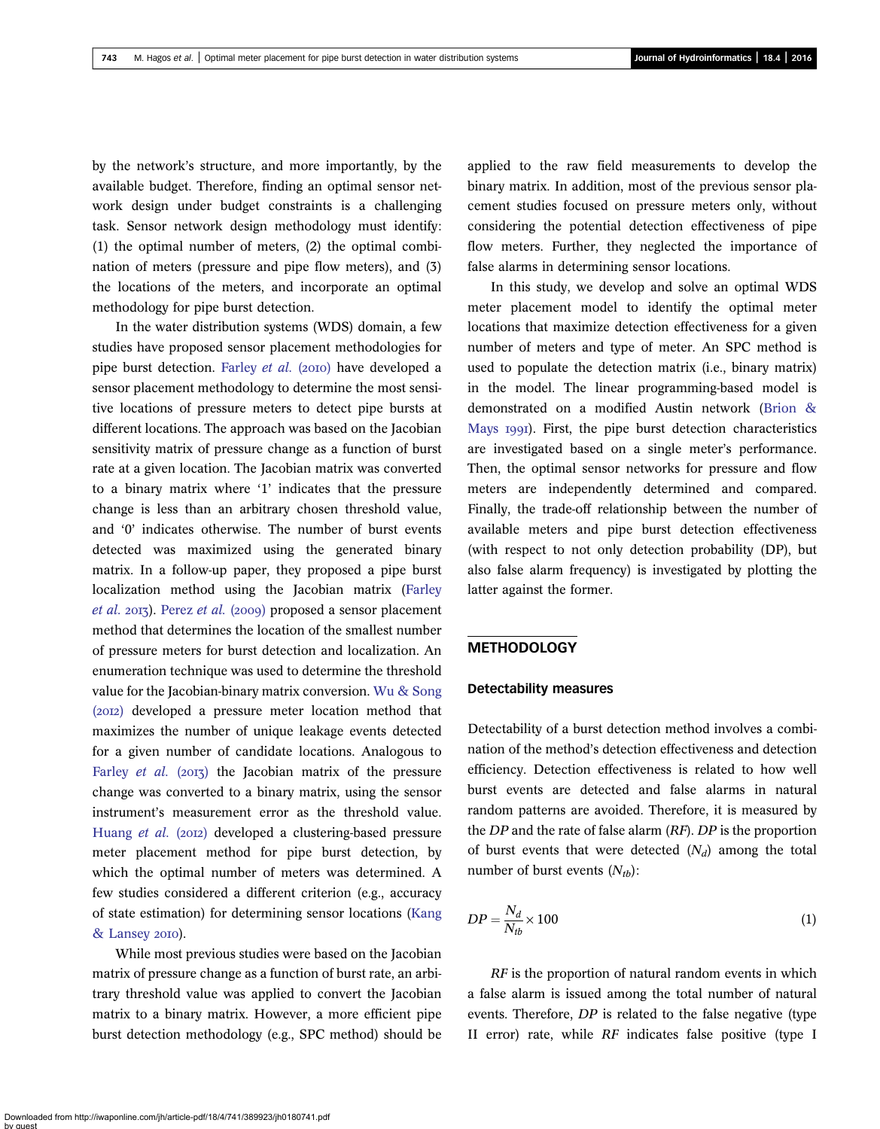by the network's structure, and more importantly, by the available budget. Therefore, finding an optimal sensor network design under budget constraints is a challenging task. Sensor network design methodology must identify: (1) the optimal number of meters, (2) the optimal combination of meters (pressure and pipe flow meters), and (3) the locations of the meters, and incorporate an optimal methodology for pipe burst detection.

In the water distribution systems (WDS) domain, a few studies have proposed sensor placement methodologies for pipe burst detection. [Farley](#page-14-0) et al. (2010) have developed a sensor placement methodology to determine the most sensitive locations of pressure meters to detect pipe bursts at different locations. The approach was based on the Jacobian sensitivity matrix of pressure change as a function of burst rate at a given location. The Jacobian matrix was converted to a binary matrix where '1' indicates that the pressure change is less than an arbitrary chosen threshold value, and '0' indicates otherwise. The number of burst events detected was maximized using the generated binary matrix. In a follow-up paper, they proposed a pipe burst localization method using the Jacobian matrix [\(Farley](#page-14-0)  $et$  al. 2013). [Perez](#page-15-0)  $et$  al. (2009) proposed a sensor placement method that determines the location of the smallest number of pressure meters for burst detection and localization. An enumeration technique was used to determine the threshold value for the Jacobian-binary matrix conversion. [Wu & Song](#page-15-0) (2012) developed a pressure meter location method that maximizes the number of unique leakage events detected for a given number of candidate locations. Analogous to [Farley](#page-14-0)  $et$  al. (2013) the Jacobian matrix of the pressure change was converted to a binary matrix, using the sensor instrument's measurement error as the threshold value. [Huang](#page-14-0) et al. (2012) developed a clustering-based pressure meter placement method for pipe burst detection, by which the optimal number of meters was determined. A few studies considered a different criterion (e.g., accuracy of state estimation) for determining sensor locations ([Kang](#page-14-0) [& Lansey](#page-14-0) 2010).

While most previous studies were based on the Jacobian matrix of pressure change as a function of burst rate, an arbitrary threshold value was applied to convert the Jacobian matrix to a binary matrix. However, a more efficient pipe burst detection methodology (e.g., SPC method) should be applied to the raw field measurements to develop the binary matrix. In addition, most of the previous sensor placement studies focused on pressure meters only, without considering the potential detection effectiveness of pipe flow meters. Further, they neglected the importance of false alarms in determining sensor locations.

In this study, we develop and solve an optimal WDS meter placement model to identify the optimal meter locations that maximize detection effectiveness for a given number of meters and type of meter. An SPC method is used to populate the detection matrix (i.e., binary matrix) in the model. The linear programming-based model is demonstrated on a modified Austin network ([Brion &](#page-14-0) [Mays](#page-14-0) 1991). First, the pipe burst detection characteristics are investigated based on a single meter's performance. Then, the optimal sensor networks for pressure and flow meters are independently determined and compared. Finally, the trade-off relationship between the number of available meters and pipe burst detection effectiveness (with respect to not only detection probability (DP), but also false alarm frequency) is investigated by plotting the latter against the former.

# **METHODOLOGY**

#### Detectability measures

Detectability of a burst detection method involves a combination of the method's detection effectiveness and detection efficiency. Detection effectiveness is related to how well burst events are detected and false alarms in natural random patterns are avoided. Therefore, it is measured by the  $DP$  and the rate of false alarm  $(RF)$ .  $DP$  is the proportion of burst events that were detected  $(N_d)$  among the total number of burst events  $(N_{th})$ :

$$
DP = \frac{N_d}{N_{tb}} \times 100\tag{1}
$$

RF is the proportion of natural random events in which a false alarm is issued among the total number of natural events. Therefore, DP is related to the false negative (type II error) rate, while RF indicates false positive (type I

Downloaded from http://iwaponline.com/jh/article-pdf/18/4/741/389923/jh0180741.pdf by guest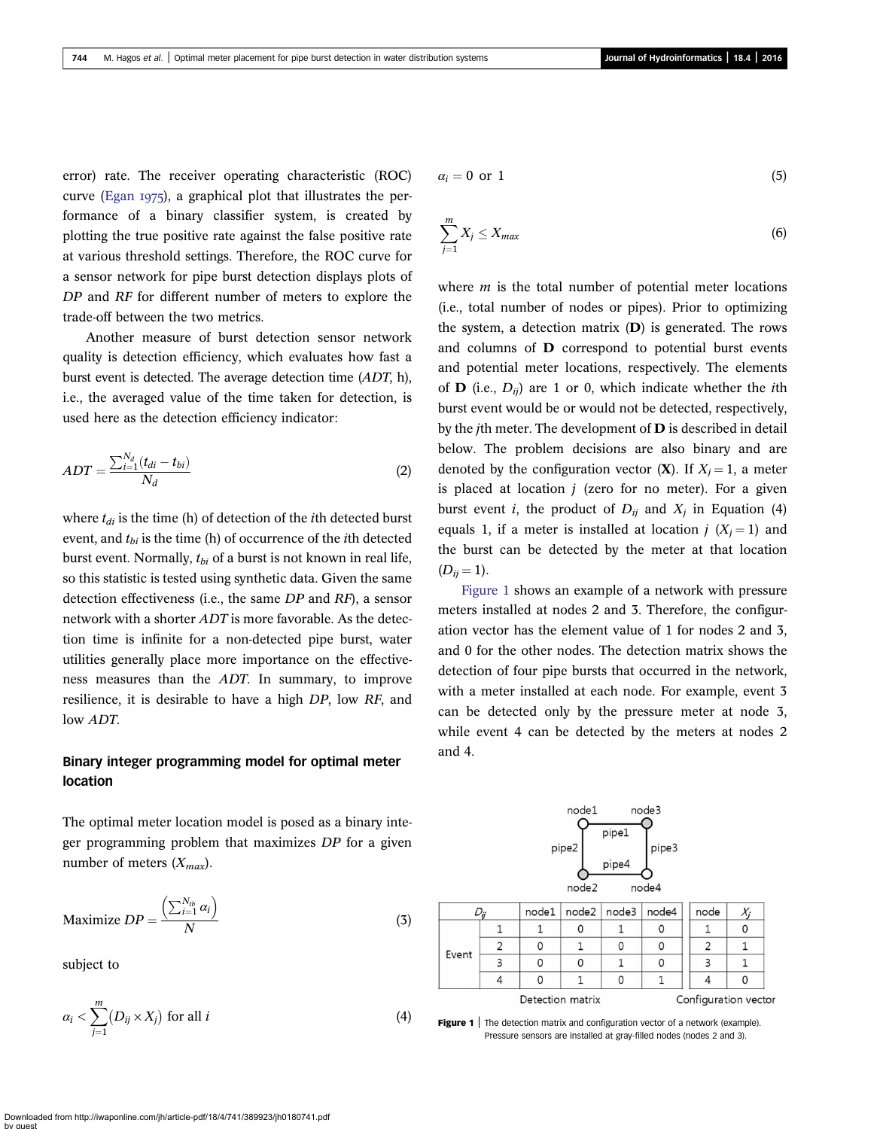error) rate. The receiver operating characteristic (ROC) curve ([Egan](#page-14-0)  $1975$ ), a graphical plot that illustrates the performance of a binary classifier system, is created by plotting the true positive rate against the false positive rate at various threshold settings. Therefore, the ROC curve for a sensor network for pipe burst detection displays plots of DP and RF for different number of meters to explore the trade-off between the two metrics.

Another measure of burst detection sensor network quality is detection efficiency, which evaluates how fast a burst event is detected. The average detection time (ADT, h), i.e., the averaged value of the time taken for detection, is used here as the detection efficiency indicator:

$$
ADT = \frac{\sum_{i=1}^{N_d} (t_{di} - t_{bi})}{N_d} \tag{2}
$$

where  $t_{di}$  is the time (h) of detection of the *i*th detected burst event, and  $t_{bi}$  is the time (h) of occurrence of the *i*th detected burst event. Normally,  $t_{bi}$  of a burst is not known in real life, so this statistic is tested using synthetic data. Given the same detection effectiveness (i.e., the same DP and RF), a sensor network with a shorter ADT is more favorable. As the detection time is infinite for a non-detected pipe burst, water utilities generally place more importance on the effectiveness measures than the ADT. In summary, to improve resilience, it is desirable to have a high DP, low RF, and low ADT.

# Binary integer programming model for optimal meter location

The optimal meter location model is posed as a binary integer programming problem that maximizes DP for a given number of meters  $(X_{max})$ .

$$
\text{Maximize } DP = \frac{\left(\sum_{i=1}^{N_{tb}} \alpha_i\right)}{N} \tag{3}
$$

subject to

$$
\alpha_i < \sum_{j=1}^m \left( D_{ij} \times X_j \right) \text{ for all } i \tag{4}
$$

$$
\alpha_i = 0 \text{ or } 1 \tag{5}
$$

$$
\sum_{j=1}^{m} X_j \le X_{max} \tag{6}
$$

where  $m$  is the total number of potential meter locations (i.e., total number of nodes or pipes). Prior to optimizing the system, a detection matrix  $(D)$  is generated. The rows and columns of D correspond to potential burst events and potential meter locations, respectively. The elements of **D** (i.e.,  $D_{ij}$ ) are 1 or 0, which indicate whether the *i*th burst event would be or would not be detected, respectively, by the jth meter. The development of D is described in detail below. The problem decisions are also binary and are denoted by the configuration vector  $(X)$ . If  $X_i = 1$ , a meter is placed at location  $j$  (zero for no meter). For a given burst event *i*, the product of  $D_{ij}$  and  $X_j$  in Equation (4) equals 1, if a meter is installed at location  $j$  ( $X_i = 1$ ) and the burst can be detected by the meter at that location  $(D_{ii} = 1).$ 

Figure 1 shows an example of a network with pressure meters installed at nodes 2 and 3. Therefore, the configuration vector has the element value of 1 for nodes 2 and 3, and 0 for the other nodes. The detection matrix shows the detection of four pipe bursts that occurred in the network, with a meter installed at each node. For example, event 3 can be detected only by the pressure meter at node 3, while event 4 can be detected by the meters at nodes 2 and 4.



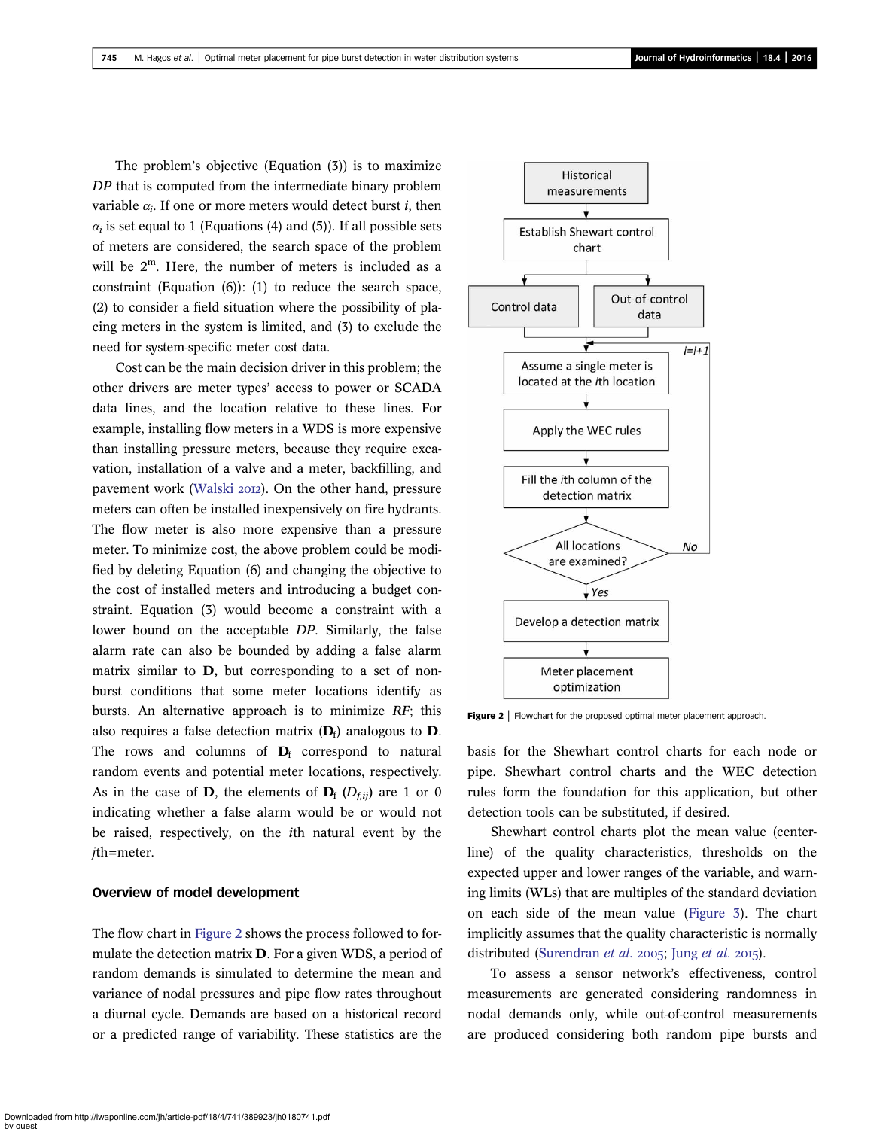<span id="page-4-0"></span>The problem's objective (Equation (3)) is to maximize DP that is computed from the intermediate binary problem variable  $\alpha_i$ . If one or more meters would detect burst *i*, then  $\alpha_i$  is set equal to 1 (Equations (4) and (5)). If all possible sets of meters are considered, the search space of the problem will be  $2^m$ . Here, the number of meters is included as a constraint (Equation (6)): (1) to reduce the search space, (2) to consider a field situation where the possibility of placing meters in the system is limited, and (3) to exclude the need for system-specific meter cost data.

Cost can be the main decision driver in this problem; the other drivers are meter types' access to power or SCADA data lines, and the location relative to these lines. For example, installing flow meters in a WDS is more expensive than installing pressure meters, because they require excavation, installation of a valve and a meter, backfilling, and pavement work ([Walski](#page-15-0) 2012). On the other hand, pressure meters can often be installed inexpensively on fire hydrants. The flow meter is also more expensive than a pressure meter. To minimize cost, the above problem could be modified by deleting Equation (6) and changing the objective to the cost of installed meters and introducing a budget constraint. Equation (3) would become a constraint with a lower bound on the acceptable DP. Similarly, the false alarm rate can also be bounded by adding a false alarm matrix similar to D, but corresponding to a set of nonburst conditions that some meter locations identify as bursts. An alternative approach is to minimize RF; this also requires a false detection matrix  $(D_f)$  analogous to D. The rows and columns of  $D_f$  correspond to natural random events and potential meter locations, respectively. As in the case of **D**, the elements of  $D_f$  ( $D_{f,ij}$ ) are 1 or 0 indicating whether a false alarm would be or would not be raised, respectively, on the ith natural event by the jth=meter.

## Overview of model development

The flow chart in Figure 2 shows the process followed to formulate the detection matrix D. For a given WDS, a period of random demands is simulated to determine the mean and variance of nodal pressures and pipe flow rates throughout a diurnal cycle. Demands are based on a historical record or a predicted range of variability. These statistics are the



**Figure 2** | Flowchart for the proposed optimal meter placement approach.

basis for the Shewhart control charts for each node or pipe. Shewhart control charts and the WEC detection rules form the foundation for this application, but other detection tools can be substituted, if desired.

Shewhart control charts plot the mean value (centerline) of the quality characteristics, thresholds on the expected upper and lower ranges of the variable, and warning limits (WLs) that are multiples of the standard deviation on each side of the mean value ([Figure 3\)](#page-5-0). The chart implicitly assumes that the quality characteristic is normally distributed [\(Surendran](#page-15-0) [et al.](#page-14-0) 2005; Jung et al. 2015).

To assess a sensor network's effectiveness, control measurements are generated considering randomness in nodal demands only, while out-of-control measurements are produced considering both random pipe bursts and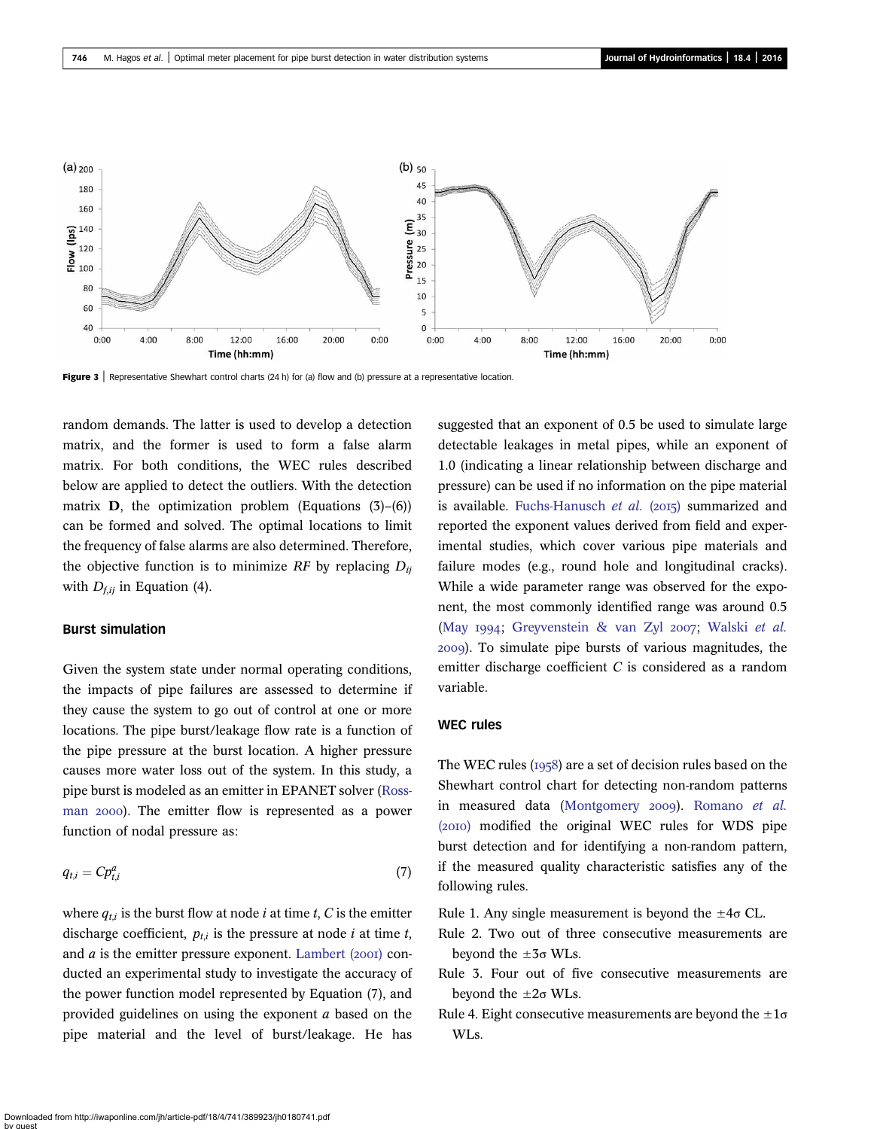<span id="page-5-0"></span>

Figure  $3$  | Representative Shewhart control charts (24 h) for (a) flow and (b) pressure at a representative location.

random demands. The latter is used to develop a detection matrix, and the former is used to form a false alarm matrix. For both conditions, the WEC rules described below are applied to detect the outliers. With the detection matrix **D**, the optimization problem (Equations  $(3)$ – $(6)$ ) can be formed and solved. The optimal locations to limit the frequency of false alarms are also determined. Therefore, the objective function is to minimize RF by replacing  $D_{ii}$ with  $D_{f,ii}$  in Equation (4).

# Burst simulation

Given the system state under normal operating conditions, the impacts of pipe failures are assessed to determine if they cause the system to go out of control at one or more locations. The pipe burst/leakage flow rate is a function of the pipe pressure at the burst location. A higher pressure causes more water loss out of the system. In this study, a pipe burst is modeled as an emitter in EPANET solver [\(Ross](#page-15-0)man 2000). The emitter flow is represented as a power function of nodal pressure as:

$$
q_{t,i} = C p_{t,i}^a \tag{7}
$$

where  $q_{t,i}$  is the burst flow at node *i* at time *t*, *C* is the emitter discharge coefficient,  $p_{t,i}$  is the pressure at node i at time t, and  $a$  is the emitter pressure exponent. [Lambert \(](#page-14-0)2001) conducted an experimental study to investigate the accuracy of the power function model represented by Equation (7), and provided guidelines on using the exponent a based on the pipe material and the level of burst/leakage. He has suggested that an exponent of 0.5 be used to simulate large detectable leakages in metal pipes, while an exponent of 1.0 (indicating a linear relationship between discharge and pressure) can be used if no information on the pipe material is available. [Fuchs-Hanusch](#page-14-0) et al.  $(2015)$  summarized and reported the exponent values derived from field and experimental studies, which cover various pipe materials and failure modes (e.g., round hole and longitudinal cracks). While a wide parameter range was observed for the exponent, the most commonly identified range was around 0.5 (May 1994; [Greyvenstein & van Zyl](#page-14-0) 2007; [Walski](#page-15-0) et al. ). To simulate pipe bursts of various magnitudes, the emitter discharge coefficient C is considered as a random variable.

# WEC rules

The WEC rules  $(1958)$  are a set of decision rules based on the Shewhart control chart for detecting non-random patterns in measured data ([Montgomery](#page-14-0) 2009). [Romano](#page-15-0) et al. (2010) modified the original WEC rules for WDS pipe burst detection and for identifying a non-random pattern, if the measured quality characteristic satisfies any of the following rules.

Rule 1. Any single measurement is beyond the  $\pm 4\sigma$  CL.

- Rule 2. Two out of three consecutive measurements are beyond the  $\pm 3\sigma$  WLs.
- Rule 3. Four out of five consecutive measurements are beyond the  $\pm 2\sigma$  WLs.
- Rule 4. Eight consecutive measurements are beyond the  $\pm 1\sigma$ WLs.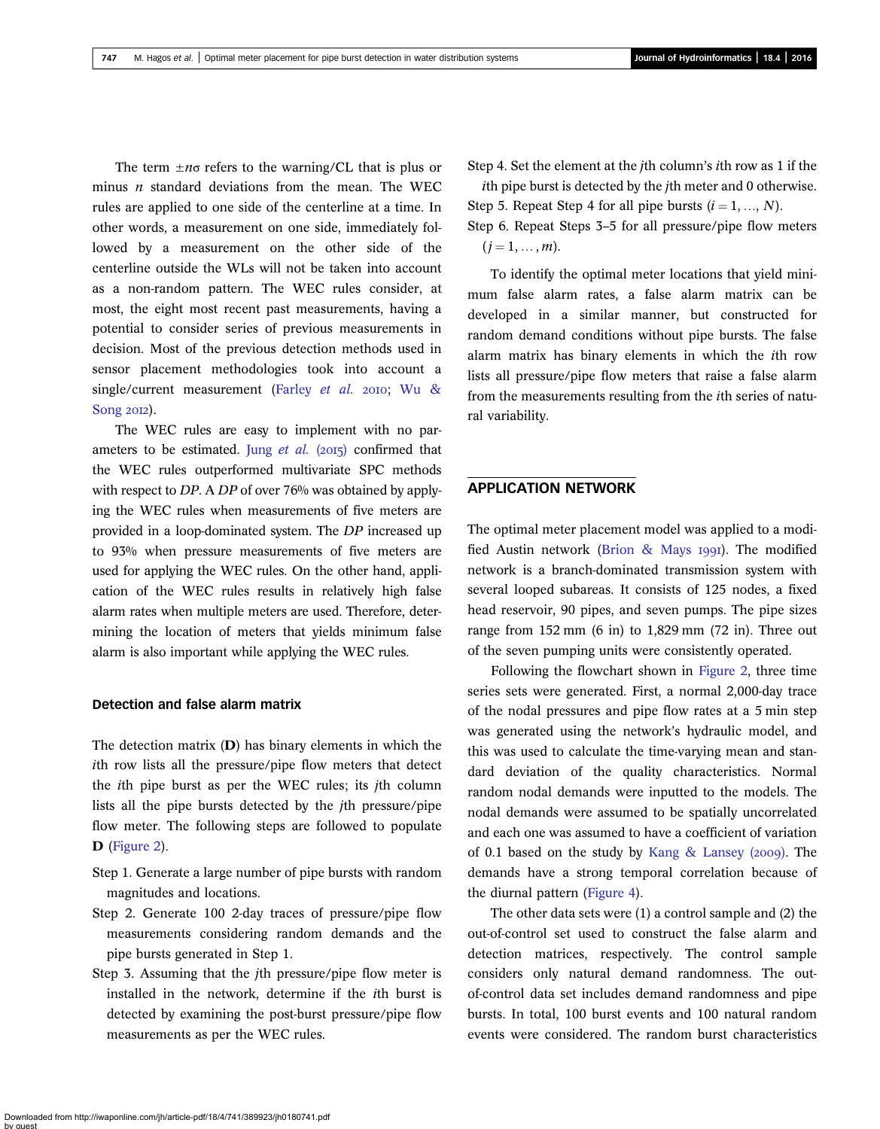The term  $\pm n\sigma$  refers to the warning/CL that is plus or minus  $n$  standard deviations from the mean. The WEC rules are applied to one side of the centerline at a time. In other words, a measurement on one side, immediately followed by a measurement on the other side of the centerline outside the WLs will not be taken into account as a non-random pattern. The WEC rules consider, at most, the eight most recent past measurements, having a potential to consider series of previous measurements in decision. Most of the previous detection methods used in sensor placement methodologies took into account a single/current measurement ([Farley](#page-14-0) et al. 2010; [Wu &](#page-15-0) [Song](#page-15-0) 2012).

The WEC rules are easy to implement with no parameters to be estimated. Jung [et al.](#page-14-0)  $(2015)$  confirmed that the WEC rules outperformed multivariate SPC methods with respect to DP. A DP of over 76% was obtained by applying the WEC rules when measurements of five meters are provided in a loop-dominated system. The DP increased up to 93% when pressure measurements of five meters are used for applying the WEC rules. On the other hand, application of the WEC rules results in relatively high false alarm rates when multiple meters are used. Therefore, determining the location of meters that yields minimum false alarm is also important while applying the WEC rules.

# Detection and false alarm matrix

The detection matrix (D) has binary elements in which the ith row lists all the pressure/pipe flow meters that detect the ith pipe burst as per the WEC rules; its jth column lists all the pipe bursts detected by the jth pressure/pipe flow meter. The following steps are followed to populate D ([Figure 2\)](#page-4-0).

- Step 1. Generate a large number of pipe bursts with random magnitudes and locations.
- Step 2. Generate 100 2-day traces of pressure/pipe flow measurements considering random demands and the pipe bursts generated in Step 1.
- Step 3. Assuming that the jth pressure/pipe flow meter is installed in the network, determine if the ith burst is detected by examining the post-burst pressure/pipe flow measurements as per the WEC rules.

Step 4. Set the element at the jth column's ith row as 1 if the ith pipe burst is detected by the jth meter and 0 otherwise.

Step 5. Repeat Step 4 for all pipe bursts  $(i = 1, ..., N)$ .

Step 6. Repeat Steps 3–5 for all pressure/pipe flow meters  $(j = 1, \ldots, m).$ 

To identify the optimal meter locations that yield minimum false alarm rates, a false alarm matrix can be developed in a similar manner, but constructed for random demand conditions without pipe bursts. The false alarm matrix has binary elements in which the ith row lists all pressure/pipe flow meters that raise a false alarm from the measurements resulting from the ith series of natural variability.

## APPLICATION NETWORK

The optimal meter placement model was applied to a modi-fied Austin network ([Brion & Mays](#page-14-0) 1991). The modified network is a branch-dominated transmission system with several looped subareas. It consists of 125 nodes, a fixed head reservoir, 90 pipes, and seven pumps. The pipe sizes range from  $152 \text{ mm}$  (6 in) to  $1,829 \text{ mm}$  (72 in). Three out of the seven pumping units were consistently operated.

Following the flowchart shown in [Figure 2](#page-4-0), three time series sets were generated. First, a normal 2,000-day trace of the nodal pressures and pipe flow rates at a 5 min step was generated using the network's hydraulic model, and this was used to calculate the time-varying mean and standard deviation of the quality characteristics. Normal random nodal demands were inputted to the models. The nodal demands were assumed to be spatially uncorrelated and each one was assumed to have a coefficient of variation of 0.1 based on the study by Kang  $&$  Lansey (2009). The demands have a strong temporal correlation because of the diurnal pattern ([Figure 4](#page-7-0)).

The other data sets were (1) a control sample and (2) the out-of-control set used to construct the false alarm and detection matrices, respectively. The control sample considers only natural demand randomness. The outof-control data set includes demand randomness and pipe bursts. In total, 100 burst events and 100 natural random events were considered. The random burst characteristics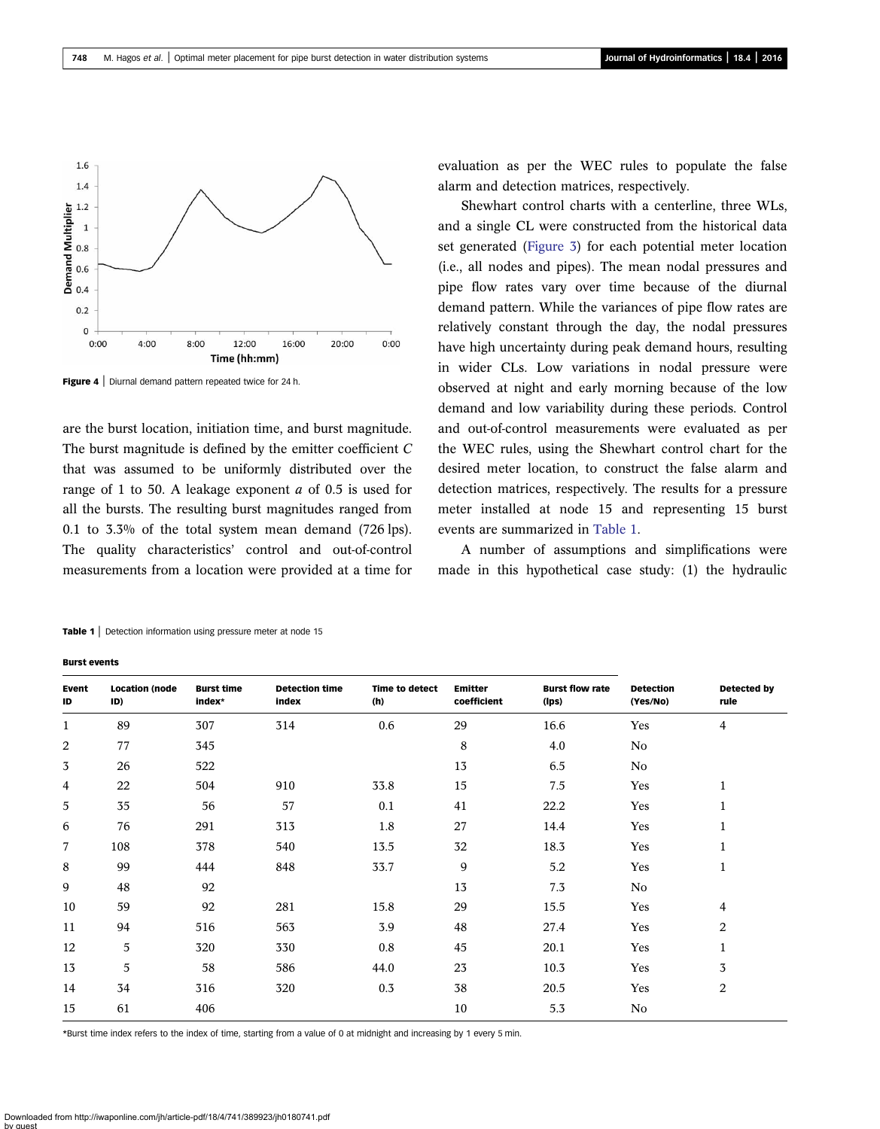<span id="page-7-0"></span>

Figure 4 | Diurnal demand pattern repeated twice for 24 h.

are the burst location, initiation time, and burst magnitude. The burst magnitude is defined by the emitter coefficient  $C$ that was assumed to be uniformly distributed over the range of 1 to 50. A leakage exponent a of 0.5 is used for all the bursts. The resulting burst magnitudes ranged from 0.1 to 3.3% of the total system mean demand (726 lps). The quality characteristics' control and out-of-control measurements from a location were provided at a time for evaluation as per the WEC rules to populate the false alarm and detection matrices, respectively.

Shewhart control charts with a centerline, three WLs, and a single CL were constructed from the historical data set generated [\(Figure 3\)](#page-5-0) for each potential meter location (i.e., all nodes and pipes). The mean nodal pressures and pipe flow rates vary over time because of the diurnal demand pattern. While the variances of pipe flow rates are relatively constant through the day, the nodal pressures have high uncertainty during peak demand hours, resulting in wider CLs. Low variations in nodal pressure were observed at night and early morning because of the low demand and low variability during these periods. Control and out-of-control measurements were evaluated as per the WEC rules, using the Shewhart control chart for the desired meter location, to construct the false alarm and detection matrices, respectively. The results for a pressure meter installed at node 15 and representing 15 burst events are summarized in Table 1.

A number of assumptions and simplifications were made in this hypothetical case study: (1) the hydraulic

| Event<br>ID  | <b>Location (node</b><br>ID) | <b>Burst time</b><br>index* | <b>Detection time</b><br>index | Time to detect<br>(h) | <b>Emitter</b><br>coefficient | <b>Burst flow rate</b><br>(lps) | <b>Detection</b><br>(Yes/No) | Detected by<br>rule |
|--------------|------------------------------|-----------------------------|--------------------------------|-----------------------|-------------------------------|---------------------------------|------------------------------|---------------------|
| $\mathbf{1}$ | 89                           | 307                         | 314                            | 0.6                   | 29                            | 16.6                            | Yes                          | 4                   |
| 2            | 77                           | 345                         |                                |                       | 8                             | 4.0                             | No                           |                     |
| 3            | 26                           | 522                         |                                |                       | 13                            | 6.5                             | No                           |                     |
| 4            | 22                           | 504                         | 910                            | 33.8                  | 15                            | 7.5                             | Yes                          | 1                   |
| 5            | 35                           | 56                          | 57                             | 0.1                   | 41                            | 22.2                            | Yes                          | 1                   |
| 6            | 76                           | 291                         | 313                            | 1.8                   | 27                            | 14.4                            | Yes                          | 1                   |
| 7            | 108                          | 378                         | 540                            | 13.5                  | 32                            | 18.3                            | Yes                          | 1                   |
| 8            | 99                           | 444                         | 848                            | 33.7                  | 9                             | 5.2                             | Yes                          | 1                   |
| 9            | 48                           | 92                          |                                |                       | 13                            | 7.3                             | No                           |                     |
| 10           | 59                           | 92                          | 281                            | 15.8                  | 29                            | 15.5                            | Yes                          | 4                   |
| 11           | 94                           | 516                         | 563                            | 3.9                   | 48                            | 27.4                            | Yes                          | 2                   |
| 12           | 5                            | 320                         | 330                            | 0.8                   | 45                            | 20.1                            | Yes                          | $\mathbf{1}$        |
| 13           | 5                            | 58                          | 586                            | 44.0                  | 23                            | 10.3                            | Yes                          | 3                   |
| 14           | 34                           | 316                         | 320                            | 0.3                   | 38                            | 20.5                            | Yes                          | 2                   |
| 15           | 61                           | 406                         |                                |                       | 10                            | 5.3                             | No                           |                     |

Table 1 | Detection information using pressure meter at node 15

#### Burst events

\*Burst time index refers to the index of time, starting from a value of 0 at midnight and increasing by 1 every 5 min.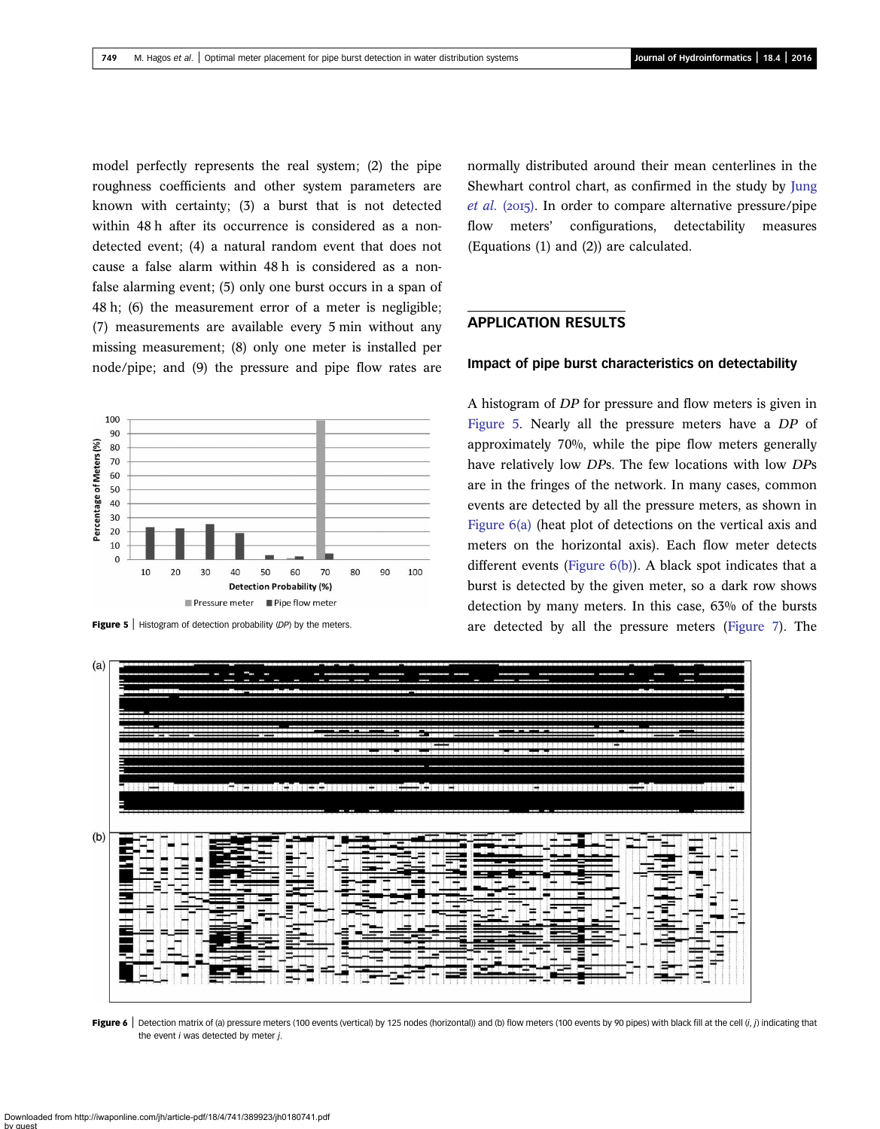<span id="page-8-0"></span>model perfectly represents the real system; (2) the pipe roughness coefficients and other system parameters are known with certainty; (3) a burst that is not detected within 48 h after its occurrence is considered as a nondetected event; (4) a natural random event that does not cause a false alarm within 48 h is considered as a nonfalse alarming event; (5) only one burst occurs in a span of 48 h; (6) the measurement error of a meter is negligible; (7) measurements are available every 5 min without any missing measurement; (8) only one meter is installed per node/pipe; and (9) the pressure and pipe flow rates are



normally distributed around their mean centerlines in the Shewhart control chart, as confirmed in the study by [Jung](#page-14-0) *[et al.](#page-14-0)* ( $2015$ ). In order to compare alternative pressure/pipe flow meters' configurations, detectability measures (Equations (1) and (2)) are calculated.

# APPLICATION RESULTS

#### Impact of pipe burst characteristics on detectability

A histogram of DP for pressure and flow meters is given in Figure 5. Nearly all the pressure meters have a DP of approximately 70%, while the pipe flow meters generally have relatively low DPs. The few locations with low DPs are in the fringes of the network. In many cases, common events are detected by all the pressure meters, as shown in Figure 6(a) (heat plot of detections on the vertical axis and meters on the horizontal axis). Each flow meter detects different events (Figure  $6(b)$ ). A black spot indicates that a burst is detected by the given meter, so a dark row shows detection by many meters. In this case, 63% of the bursts Figure 5 | Histogram of detection probability (DP) by the meters. <br>
are detected by all the pressure meters ([Figure 7\)](#page-9-0). The



Figure 6 | Detection matrix of (a) pressure meters (100 events (vertical) by 125 nodes (horizontal)) and (b) flow meters (100 events by 90 pipes) with black fill at the cell (i, j) indicating that the event  $i$  was detected by meter  $j$ .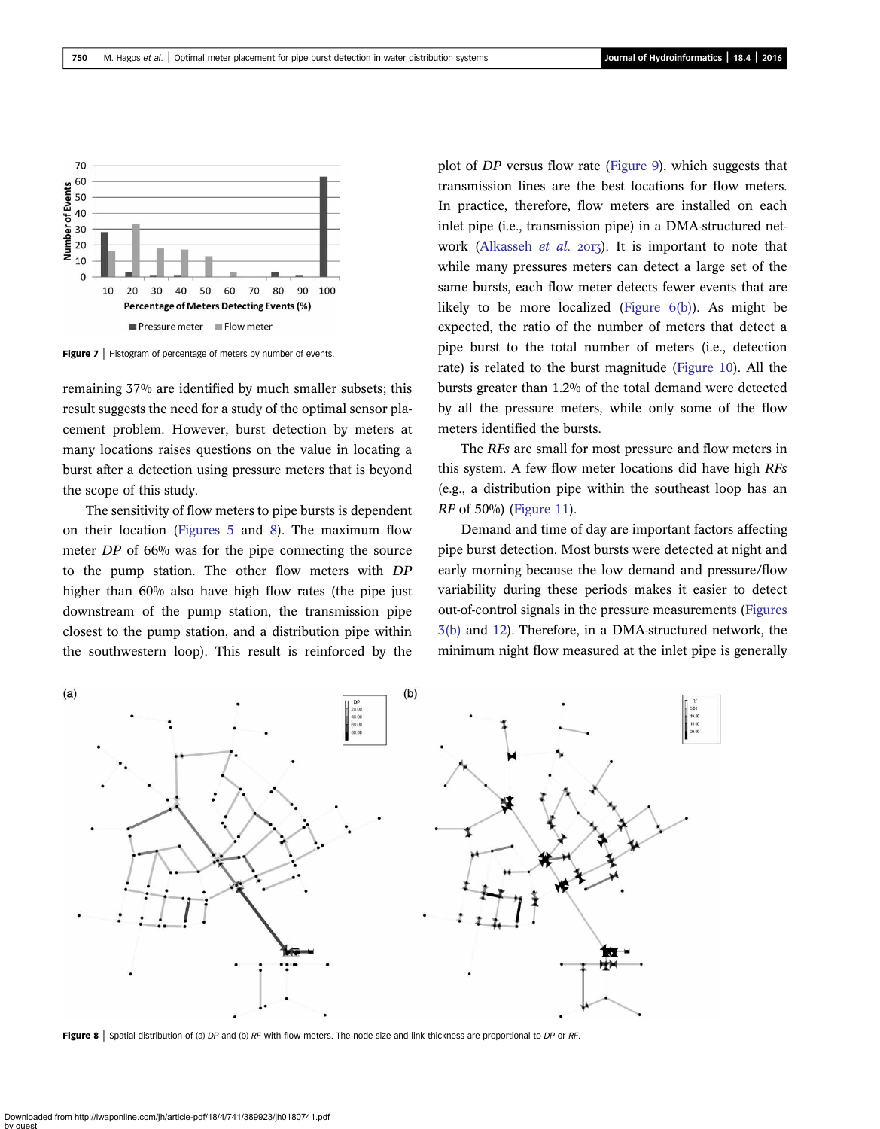<span id="page-9-0"></span>

Figure 7 | Histogram of percentage of meters by number of events.

remaining 37% are identified by much smaller subsets; this result suggests the need for a study of the optimal sensor placement problem. However, burst detection by meters at many locations raises questions on the value in locating a burst after a detection using pressure meters that is beyond the scope of this study.

The sensitivity of flow meters to pipe bursts is dependent on their location [\(Figures 5](#page-8-0) and 8). The maximum flow meter DP of 66% was for the pipe connecting the source to the pump station. The other flow meters with DP higher than 60% also have high flow rates (the pipe just downstream of the pump station, the transmission pipe closest to the pump station, and a distribution pipe within the southwestern loop). This result is reinforced by the plot of DP versus flow rate ([Figure 9\)](#page-10-0), which suggests that transmission lines are the best locations for flow meters. In practice, therefore, flow meters are installed on each inlet pipe (i.e., transmission pipe) in a DMA-structured net-work [\(Alkasseh](#page-14-0) et al.  $20I_3$ ). It is important to note that while many pressures meters can detect a large set of the same bursts, each flow meter detects fewer events that are likely to be more localized (Figure  $6(b)$ ). As might be expected, the ratio of the number of meters that detect a pipe burst to the total number of meters (i.e., detection rate) is related to the burst magnitude ([Figure 10\)](#page-10-0). All the bursts greater than 1.2% of the total demand were detected by all the pressure meters, while only some of the flow meters identified the bursts.

The RFs are small for most pressure and flow meters in this system. A few flow meter locations did have high RFs (e.g., a distribution pipe within the southeast loop has an RF of 50%) ([Figure 11](#page-10-0)).

Demand and time of day are important factors affecting pipe burst detection. Most bursts were detected at night and early morning because the low demand and pressure/flow variability during these periods makes it easier to detect out-of-control signals in the pressure measurements [\(Figures](#page-5-0) [3\(b\)](#page-5-0) and [12](#page-10-0)). Therefore, in a DMA-structured network, the minimum night flow measured at the inlet pipe is generally



Figure 8 | Spatial distribution of (a) DP and (b) RF with flow meters. The node size and link thickness are proportional to DP or RF.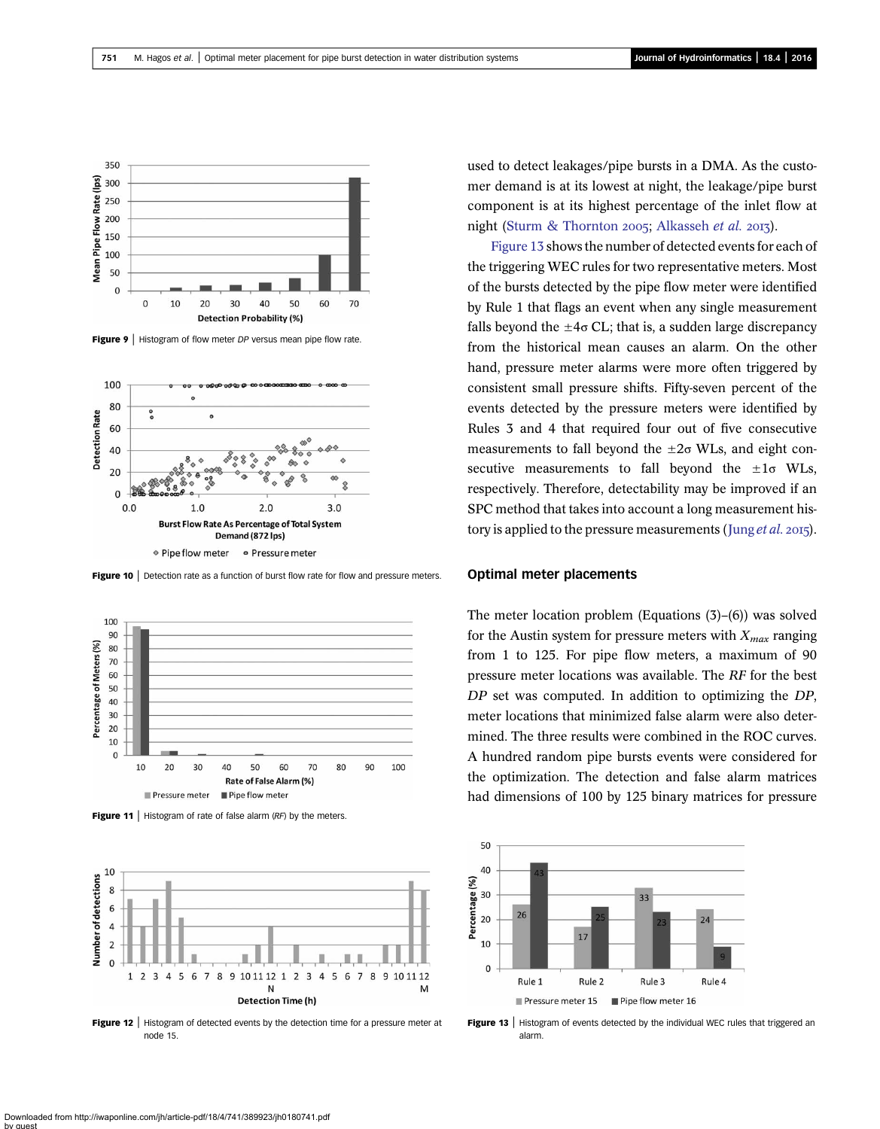<span id="page-10-0"></span>

**Figure 9** | Histogram of flow meter *DP* versus mean pipe flow rate.



Figure 10 | Detection rate as a function of burst flow rate for flow and pressure meters.



Figure 11 | Histogram of rate of false alarm  $(RF)$  by the meters.



**Figure 12** | Histogram of detected events by the detection time for a pressure meter at node 15.

used to detect leakages/pipe bursts in a DMA. As the customer demand is at its lowest at night, the leakage/pipe burst component is at its highest percentage of the inlet flow at night ([Sturm & Thornton](#page-15-0) 2005; [Alkasseh](#page-14-0) et al. 2013).

Figure 13 shows the number of detected events for each of the triggering WEC rules for two representative meters. Most of the bursts detected by the pipe flow meter were identified by Rule 1 that flags an event when any single measurement falls beyond the  $\pm 4\sigma$  CL; that is, a sudden large discrepancy from the historical mean causes an alarm. On the other hand, pressure meter alarms were more often triggered by consistent small pressure shifts. Fifty-seven percent of the events detected by the pressure meters were identified by Rules 3 and 4 that required four out of five consecutive measurements to fall beyond the  $\pm 2\sigma$  WLs, and eight consecutive measurements to fall beyond the  $\pm 1\sigma$  WLs, respectively. Therefore, detectability may be improved if an SPC method that takes into account a long measurement history is applied to the pressure measurements (Jung *[et al.](#page-14-0)* 2015).

#### Optimal meter placements

The meter location problem (Equations (3)–(6)) was solved for the Austin system for pressure meters with  $X_{max}$  ranging from 1 to 125. For pipe flow meters, a maximum of 90 pressure meter locations was available. The RF for the best DP set was computed. In addition to optimizing the DP, meter locations that minimized false alarm were also determined. The three results were combined in the ROC curves. A hundred random pipe bursts events were considered for the optimization. The detection and false alarm matrices had dimensions of 100 by 125 binary matrices for pressure



Figure 13 | Histogram of events detected by the individual WEC rules that triggered an alarm.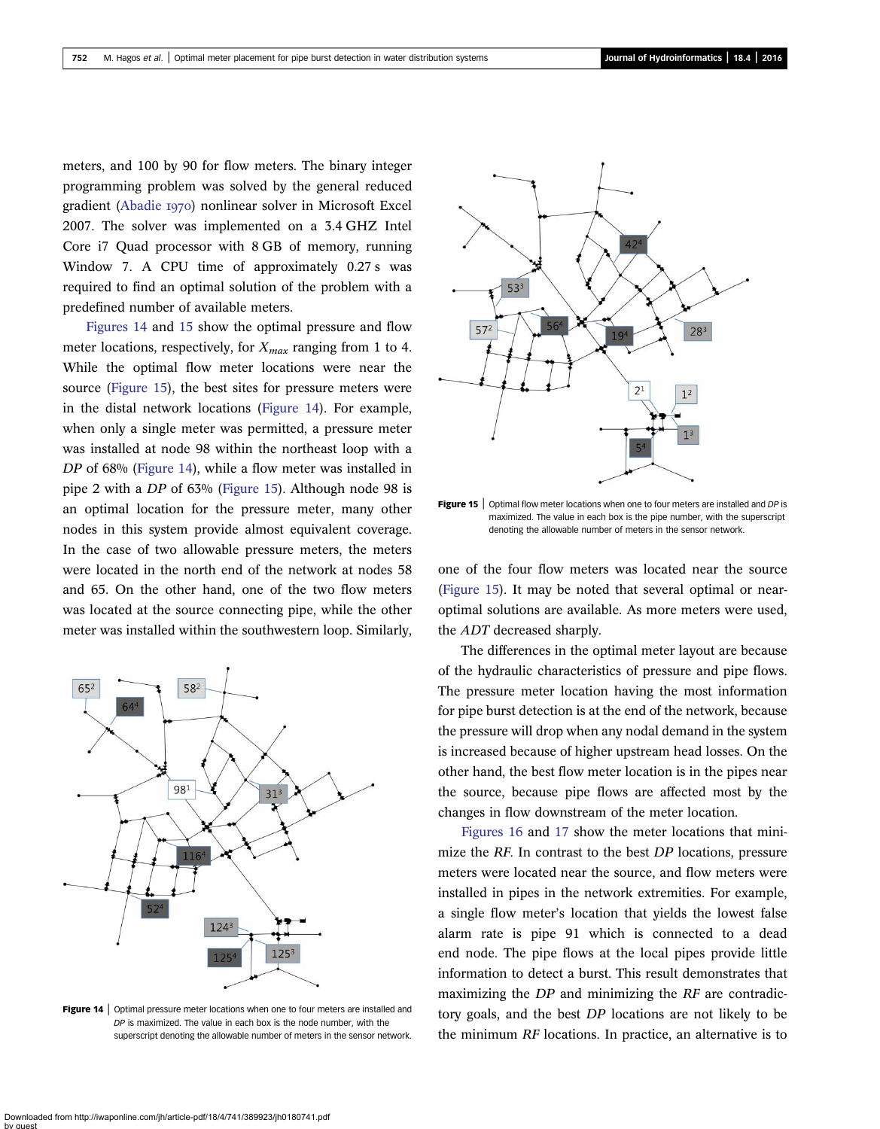meters, and 100 by 90 for flow meters. The binary integer programming problem was solved by the general reduced gradient [\(Abadie](#page-14-0) 1970) nonlinear solver in Microsoft Excel 2007. The solver was implemented on a 3.4 GHZ Intel Core i7 Quad processor with 8 GB of memory, running Window 7. A CPU time of approximately 0.27 s was required to find an optimal solution of the problem with a predefined number of available meters.

Figures 14 and 15 show the optimal pressure and flow meter locations, respectively, for  $X_{max}$  ranging from 1 to 4. While the optimal flow meter locations were near the source (Figure 15), the best sites for pressure meters were in the distal network locations (Figure 14). For example, when only a single meter was permitted, a pressure meter was installed at node 98 within the northeast loop with a DP of 68% (Figure 14), while a flow meter was installed in pipe 2 with a DP of 63% (Figure 15). Although node 98 is an optimal location for the pressure meter, many other nodes in this system provide almost equivalent coverage. In the case of two allowable pressure meters, the meters were located in the north end of the network at nodes 58 and 65. On the other hand, one of the two flow meters was located at the source connecting pipe, while the other meter was installed within the southwestern loop. Similarly,



**Figure 14** | Optimal pressure meter locations when one to four meters are installed and DP is maximized. The value in each box is the node number, with the superscript denoting the allowable number of meters in the sensor network.



**Figure 15** | Optimal flow meter locations when one to four meters are installed and  $DP$  is maximized. The value in each box is the pipe number, with the superscript denoting the allowable number of meters in the sensor network.

one of the four flow meters was located near the source (Figure 15). It may be noted that several optimal or nearoptimal solutions are available. As more meters were used, the ADT decreased sharply.

The differences in the optimal meter layout are because of the hydraulic characteristics of pressure and pipe flows. The pressure meter location having the most information for pipe burst detection is at the end of the network, because the pressure will drop when any nodal demand in the system is increased because of higher upstream head losses. On the other hand, the best flow meter location is in the pipes near the source, because pipe flows are affected most by the changes in flow downstream of the meter location.

[Figures 16](#page-12-0) and [17](#page-12-0) show the meter locations that minimize the RF. In contrast to the best DP locations, pressure meters were located near the source, and flow meters were installed in pipes in the network extremities. For example, a single flow meter's location that yields the lowest false alarm rate is pipe 91 which is connected to a dead end node. The pipe flows at the local pipes provide little information to detect a burst. This result demonstrates that maximizing the DP and minimizing the RF are contradictory goals, and the best DP locations are not likely to be the minimum RF locations. In practice, an alternative is to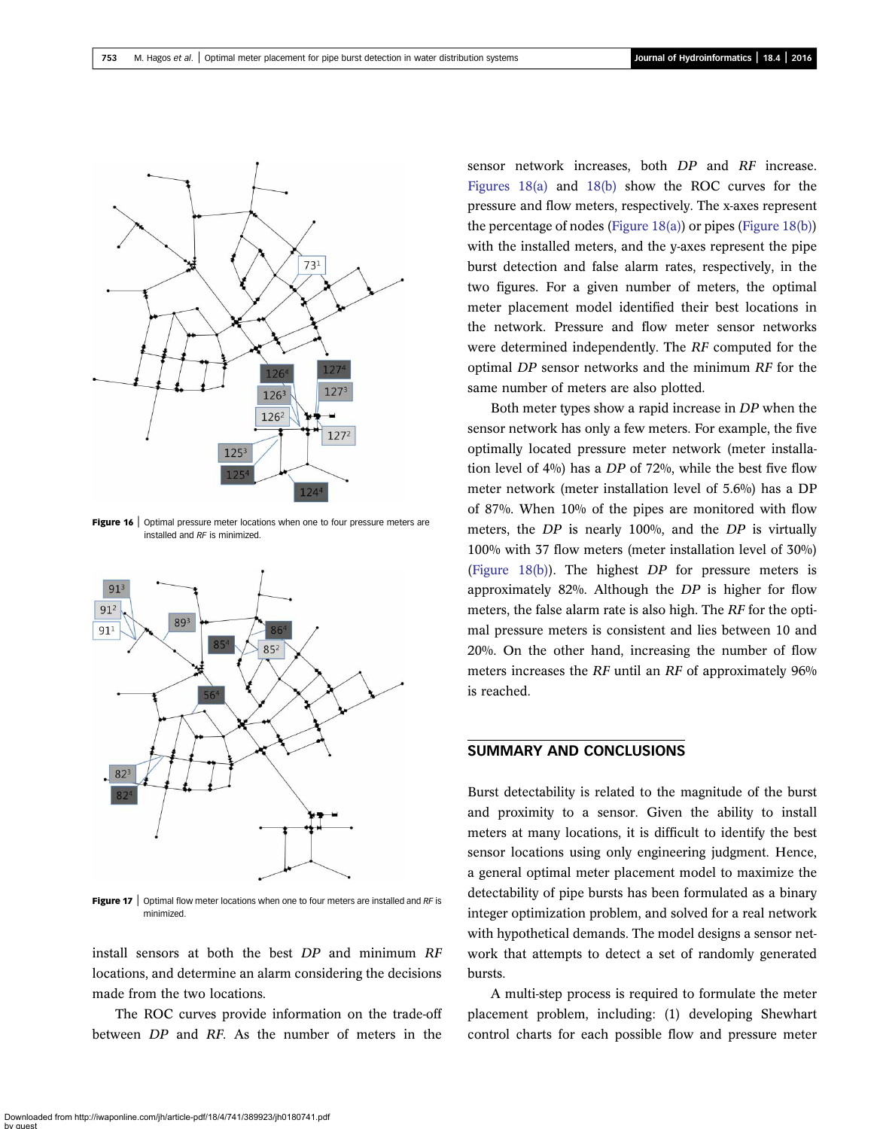<span id="page-12-0"></span>

Figure 16 | Optimal pressure meter locations when one to four pressure meters are installed and RF is minimized.



**Figure 17** | Optimal flow meter locations when one to four meters are installed and  $RF$  is minimized.

install sensors at both the best DP and minimum RF locations, and determine an alarm considering the decisions made from the two locations.

The ROC curves provide information on the trade-off between DP and RF. As the number of meters in the

sensor network increases, both DP and RF increase. [Figures 18\(a\)](#page-13-0) and [18\(b\)](#page-13-0) show the ROC curves for the pressure and flow meters, respectively. The x-axes represent the percentage of nodes ([Figure 18\(a\)](#page-13-0)) or pipes [\(Figure 18\(b\)\)](#page-13-0) with the installed meters, and the y-axes represent the pipe burst detection and false alarm rates, respectively, in the two figures. For a given number of meters, the optimal meter placement model identified their best locations in the network. Pressure and flow meter sensor networks were determined independently. The RF computed for the optimal DP sensor networks and the minimum RF for the same number of meters are also plotted.

Both meter types show a rapid increase in DP when the sensor network has only a few meters. For example, the five optimally located pressure meter network (meter installation level of 4%) has a DP of 72%, while the best five flow meter network (meter installation level of 5.6%) has a DP of 87%. When 10% of the pipes are monitored with flow meters, the DP is nearly 100%, and the DP is virtually 100% with 37 flow meters (meter installation level of 30%) [\(Figure 18\(b\)](#page-13-0)). The highest DP for pressure meters is approximately 82%. Although the DP is higher for flow meters, the false alarm rate is also high. The RF for the optimal pressure meters is consistent and lies between 10 and 20%. On the other hand, increasing the number of flow meters increases the RF until an RF of approximately 96% is reached.

# SUMMARY AND CONCLUSIONS

Burst detectability is related to the magnitude of the burst and proximity to a sensor. Given the ability to install meters at many locations, it is difficult to identify the best sensor locations using only engineering judgment. Hence, a general optimal meter placement model to maximize the detectability of pipe bursts has been formulated as a binary integer optimization problem, and solved for a real network with hypothetical demands. The model designs a sensor network that attempts to detect a set of randomly generated bursts.

A multi-step process is required to formulate the meter placement problem, including: (1) developing Shewhart control charts for each possible flow and pressure meter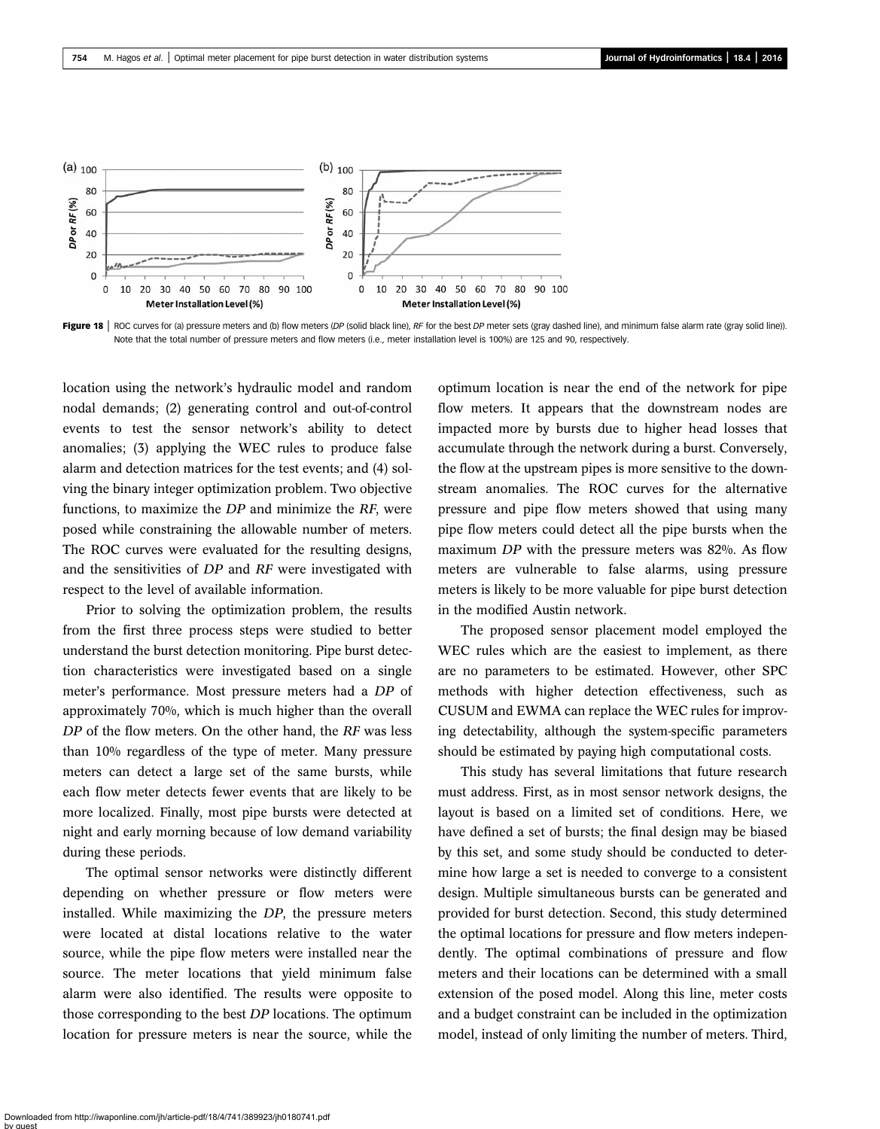<span id="page-13-0"></span>



location using the network's hydraulic model and random nodal demands; (2) generating control and out-of-control events to test the sensor network's ability to detect anomalies; (3) applying the WEC rules to produce false alarm and detection matrices for the test events; and (4) solving the binary integer optimization problem. Two objective functions, to maximize the DP and minimize the RF, were posed while constraining the allowable number of meters. The ROC curves were evaluated for the resulting designs, and the sensitivities of DP and RF were investigated with respect to the level of available information.

Prior to solving the optimization problem, the results from the first three process steps were studied to better understand the burst detection monitoring. Pipe burst detection characteristics were investigated based on a single meter's performance. Most pressure meters had a DP of approximately 70%, which is much higher than the overall DP of the flow meters. On the other hand, the RF was less than 10% regardless of the type of meter. Many pressure meters can detect a large set of the same bursts, while each flow meter detects fewer events that are likely to be more localized. Finally, most pipe bursts were detected at night and early morning because of low demand variability during these periods.

The optimal sensor networks were distinctly different depending on whether pressure or flow meters were installed. While maximizing the DP, the pressure meters were located at distal locations relative to the water source, while the pipe flow meters were installed near the source. The meter locations that yield minimum false alarm were also identified. The results were opposite to those corresponding to the best DP locations. The optimum location for pressure meters is near the source, while the optimum location is near the end of the network for pipe flow meters. It appears that the downstream nodes are impacted more by bursts due to higher head losses that accumulate through the network during a burst. Conversely, the flow at the upstream pipes is more sensitive to the downstream anomalies. The ROC curves for the alternative pressure and pipe flow meters showed that using many pipe flow meters could detect all the pipe bursts when the maximum DP with the pressure meters was 82%. As flow meters are vulnerable to false alarms, using pressure meters is likely to be more valuable for pipe burst detection in the modified Austin network.

The proposed sensor placement model employed the WEC rules which are the easiest to implement, as there are no parameters to be estimated. However, other SPC methods with higher detection effectiveness, such as CUSUM and EWMA can replace the WEC rules for improving detectability, although the system-specific parameters should be estimated by paying high computational costs.

This study has several limitations that future research must address. First, as in most sensor network designs, the layout is based on a limited set of conditions. Here, we have defined a set of bursts; the final design may be biased by this set, and some study should be conducted to determine how large a set is needed to converge to a consistent design. Multiple simultaneous bursts can be generated and provided for burst detection. Second, this study determined the optimal locations for pressure and flow meters independently. The optimal combinations of pressure and flow meters and their locations can be determined with a small extension of the posed model. Along this line, meter costs and a budget constraint can be included in the optimization model, instead of only limiting the number of meters. Third,

Downloaded from http://iwaponline.com/jh/article-pdf/18/4/741/389923/jh0180741.pdf by guest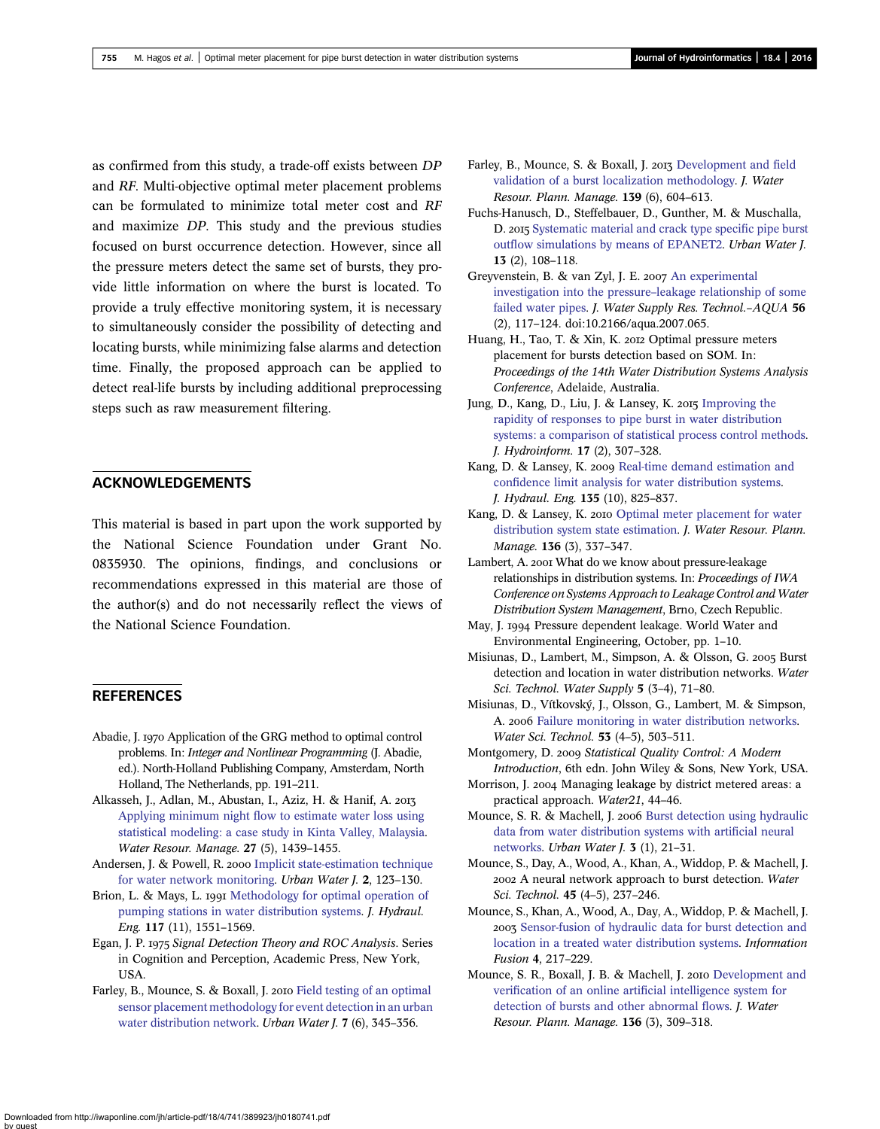<span id="page-14-0"></span>as confirmed from this study, a trade-off exists between DP and RF. Multi-objective optimal meter placement problems can be formulated to minimize total meter cost and RF and maximize DP. This study and the previous studies focused on burst occurrence detection. However, since all the pressure meters detect the same set of bursts, they provide little information on where the burst is located. To provide a truly effective monitoring system, it is necessary to simultaneously consider the possibility of detecting and locating bursts, while minimizing false alarms and detection time. Finally, the proposed approach can be applied to detect real-life bursts by including additional preprocessing steps such as raw measurement filtering.

# ACKNOWLEDGEMENTS

This material is based in part upon the work supported by the National Science Foundation under Grant No. 0835930. The opinions, findings, and conclusions or recommendations expressed in this material are those of the author(s) and do not necessarily reflect the views of the National Science Foundation.

# **REFERENCES**

- Abadie, J. 1970 Application of the GRG method to optimal control problems. In: Integer and Nonlinear Programming (J. Abadie, ed.). North-Holland Publishing Company, Amsterdam, North Holland, The Netherlands, pp. 191–211.
- Alkasseh, J., Adlan, M., Abustan, I., Aziz, H. & Hanif, A. Applying minimum night fl[ow to estimate water loss using](http://dx.doi.org/10.1007/s11269-012-0247-2) [statistical modeling: a case study in Kinta Valley, Malaysia](http://dx.doi.org/10.1007/s11269-012-0247-2). Water Resour. Manage. 27 (5), 1439–1455.
- Andersen, J. & Powell, R. 2000 [Implicit state-estimation technique](http://dx.doi.org/10.1016/S1462-0758(00)00050-9) [for water network monitoring](http://dx.doi.org/10.1016/S1462-0758(00)00050-9). Urban Water J. 2, 123–130.
- Brion, L. & Mays, L. 1991 [Methodology for optimal operation of](http://dx.doi.org/10.1061/(ASCE)0733-9429(1991)117:11(1551)) [pumping stations in water distribution systems](http://dx.doi.org/10.1061/(ASCE)0733-9429(1991)117:11(1551)). J. Hydraul. Eng. 117 (11), 1551–1569.
- Egan, J. P. 1975 Signal Detection Theory and ROC Analysis. Series in Cognition and Perception, Academic Press, New York, **IISA**
- Farley, B., Mounce, S. & Boxall, J. 2010 [Field testing of an optimal](http://dx.doi.org/10.1080/1573062X.2010.526230) [sensor placement methodology for event detection in an urban](http://dx.doi.org/10.1080/1573062X.2010.526230) [water distribution network.](http://dx.doi.org/10.1080/1573062X.2010.526230) Urban Water J. 7 (6), 345–356.
- Farley, B., Mounce, S. & Boxall, J. 2013 [Development and](http://dx.doi.org/10.1061/(ASCE)WR.1943-5452.0000290) field [validation of a burst localization methodology.](http://dx.doi.org/10.1061/(ASCE)WR.1943-5452.0000290) J. Water Resour. Plann. Manage. 139 (6), 604–613.
- Fuchs-Hanusch, D., Steffelbauer, D., Gunther, M. & Muschalla, D. 2015 [Systematic material and crack type speci](http://dx.doi.org/10.1080/1573062X.2014.994006)fic pipe burst outfl[ow simulations by means of EPANET2](http://dx.doi.org/10.1080/1573062X.2014.994006). Urban Water J. 13 (2), 108–118.
- Greyvenstein, B. & van Zyl, J. E. 2007 [An experimental](http://dx.doi.org/10.2166/aqua.2007.065) [investigation into the pressure](http://dx.doi.org/10.2166/aqua.2007.065)–leakage relationship of some [failed water pipes.](http://dx.doi.org/10.2166/aqua.2007.065) J. Water Supply Res. Technol.-AQUA 56 (2), 117–124. doi:10.2166/aqua.2007.065.
- Huang, H., Tao, T. & Xin, K. 2012 Optimal pressure meters placement for bursts detection based on SOM. In: Proceedings of the 14th Water Distribution Systems Analysis Conference, Adelaide, Australia.
- Jung, D., Kang, D., Liu, J. & Lansey, K. 2015 [Improving the](http://dx.doi.org/10.2166/hydro.2014.101) [rapidity of responses to pipe burst in water distribution](http://dx.doi.org/10.2166/hydro.2014.101) [systems: a comparison of statistical process control methods](http://dx.doi.org/10.2166/hydro.2014.101). J. Hydroinform. 17 (2), 307–328.
- Kang, D. & Lansey, K. 2009 [Real-time demand estimation and](http://dx.doi.org/10.1061/(ASCE)HY.1943-7900.0000086) confi[dence limit analysis for water distribution systems.](http://dx.doi.org/10.1061/(ASCE)HY.1943-7900.0000086) J. Hydraul. Eng. 135 (10), 825–837.
- Kang, D. & Lansey, K. 2010 [Optimal meter placement for water](http://dx.doi.org/10.1061/(ASCE)WR.1943-5452.0000037) [distribution system state estimation](http://dx.doi.org/10.1061/(ASCE)WR.1943-5452.0000037). J. Water Resour. Plann. Manage. 136 (3), 337–347.
- Lambert, A. 2001 What do we know about pressure-leakage relationships in distribution systems. In: Proceedings of IWA Conference on Systems Approach to Leakage Control and Water Distribution System Management, Brno, Czech Republic.
- May, J. 1994 Pressure dependent leakage. World Water and Environmental Engineering, October, pp. 1–10.
- Misiunas, D., Lambert, M., Simpson, A. & Olsson, G. 2005 Burst detection and location in water distribution networks. Water Sci. Technol. Water Supply 5 (3–4), 71–80.
- Misiunas, D., Vítkovský, J., Olsson, G., Lambert, M. & Simpson, A. 2006 [Failure monitoring in water distribution networks.](http://dx.doi.org/10.2166/wst.2006.154) Water Sci. Technol. 53 (4–5), 503–511.
- Montgomery, D. 2009 Statistical Quality Control: A Modern Introduction, 6th edn. John Wiley & Sons, New York, USA.
- Morrison, J. 2004 Managing leakage by district metered areas: a practical approach. Water21, 44–46.
- Mounce, S. R. & Machell, J. 2006 [Burst detection using hydraulic](http://dx.doi.org/10.1080/15730620600578538) [data from water distribution systems with arti](http://dx.doi.org/10.1080/15730620600578538)ficial neural [networks](http://dx.doi.org/10.1080/15730620600578538). Urban Water J. 3 (1), 21–31.
- Mounce, S., Day, A., Wood, A., Khan, A., Widdop, P. & Machell, J. 2002 A neural network approach to burst detection. Water Sci. Technol. 45 (4–5), 237–246.
- Mounce, S., Khan, A., Wood, A., Day, A., Widdop, P. & Machell, J. 2003 [Sensor-fusion of hydraulic data for burst detection and](http://dx.doi.org/10.1016/S1566-2535(03)00034-4) [location in a treated water distribution systems.](http://dx.doi.org/10.1016/S1566-2535(03)00034-4) Information Fusion 4, 217–229.
- Mounce, S. R., Boxall, J. B. & Machell, J. 2010 [Development and](http://dx.doi.org/10.1061/(ASCE)WR.1943-5452.0000030) verification of an online artifi[cial intelligence system for](http://dx.doi.org/10.1061/(ASCE)WR.1943-5452.0000030) [detection of bursts and other abnormal](http://dx.doi.org/10.1061/(ASCE)WR.1943-5452.0000030) flows. J. Water Resour. Plann. Manage. 136 (3), 309–318.